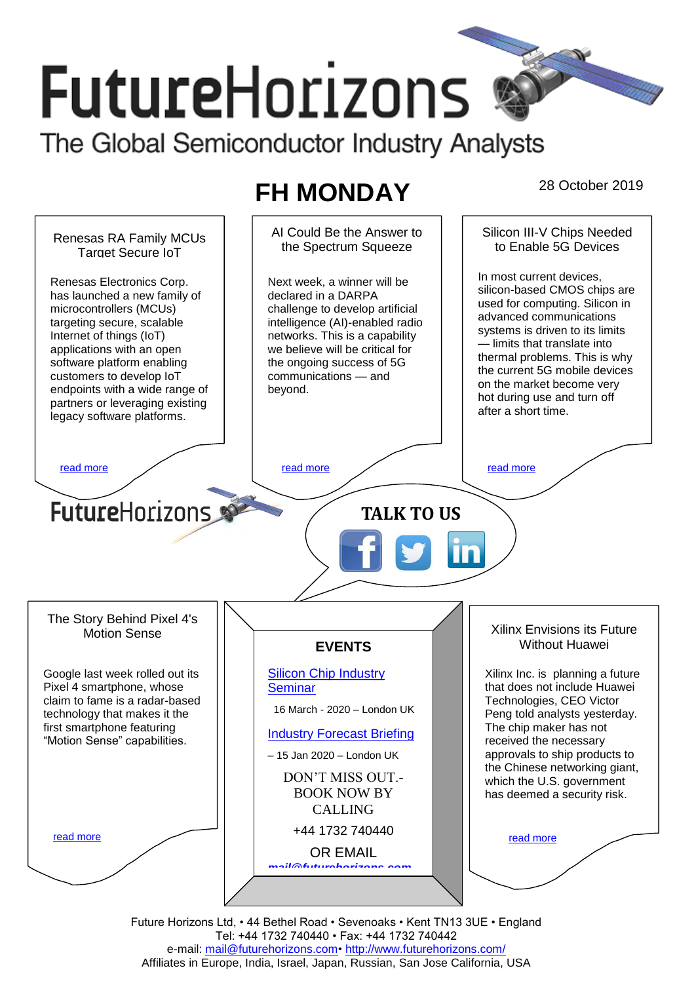# **FutureHorizons**

The Global Semiconductor Industry Analysts

## **FH MONDAY** 28 October 2019



Future Horizons Ltd, • 44 Bethel Road • Sevenoaks • Kent TN13 3UE • England Tel: +44 1732 740440 • Fax: +44 1732 740442 e-mail: mail@futurehorizons.com• http://www.futurehorizons.com/ Affiliates in Europe, India, Israel, Japan, Russian, San Jose California, USA